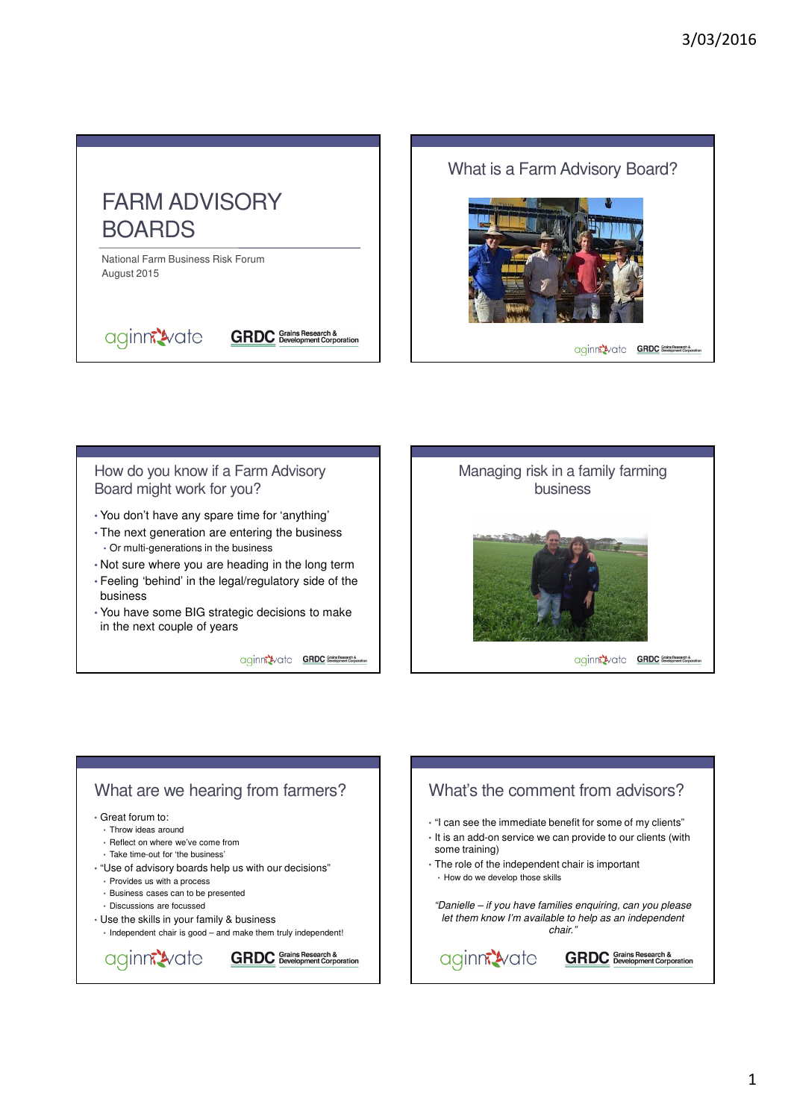

aginn<sup>2</sup>vate





### How do you know if a Farm Advisory Board might work for you?

- You don't have any spare time for 'anything'
- The next generation are entering the business • Or multi-generations in the business
- Not sure where you are heading in the long term
- Feeling 'behind' in the legal/regulatory side of the business
- You have some BIG strategic decisions to make in the next couple of years

aginn<sup>2</sup>vate GRDC Sovetoment Corpora

**GRDC** Grains Research &



## What are we hearing from farmers?

#### • Great forum to:

- Throw ideas around
- Reflect on where we've come from
- Take time-out for 'the business'
- "Use of advisory boards help us with our decisions"
	- Provides us with a process
	- Business cases can to be presented • Discussions are focussed
- Use the skills in your family & business
- Independent chair is good and make them truly independent!



# What's the comment from advisors?

- "I can see the immediate benefit for some of my clients" • It is an add-on service we can provide to our clients (with some training)
- The role of the independent chair is important • How do we develop those skills
- "Danielle if you have families enquiring, can you please let them know I'm available to help as an independent chair."

aginn<sup>2</sup>vate